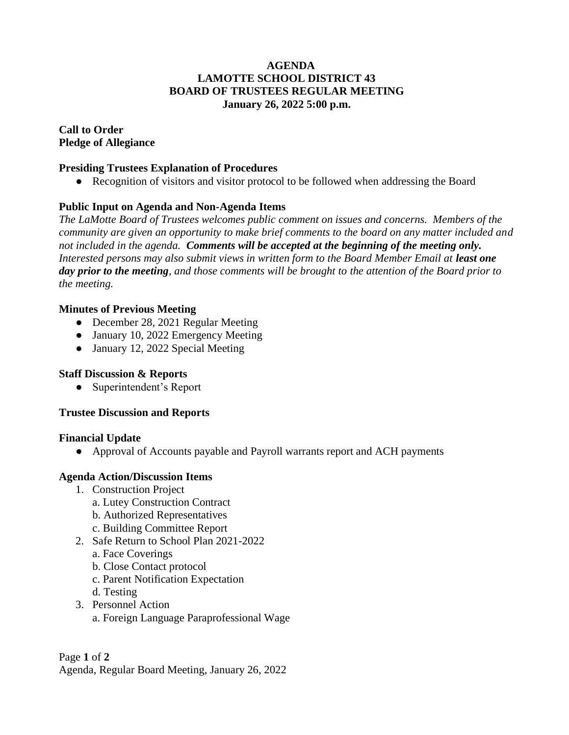## **AGENDA LAMOTTE SCHOOL DISTRICT 43 BOARD OF TRUSTEES REGULAR MEETING January 26, 2022 5:00 p.m.**

**Call to Order Pledge of Allegiance**

### **Presiding Trustees Explanation of Procedures**

• Recognition of visitors and visitor protocol to be followed when addressing the Board

# **Public Input on Agenda and Non-Agenda Items**

*The LaMotte Board of Trustees welcomes public comment on issues and concerns. Members of the community are given an opportunity to make brief comments to the board on any matter included and not included in the agenda. Comments will be accepted at the beginning of the meeting only. Interested persons may also submit views in written form to the Board Member Email at least one day prior to the meeting, and those comments will be brought to the attention of the Board prior to the meeting.*

### **Minutes of Previous Meeting**

- December 28, 2021 Regular Meeting
- January 10, 2022 Emergency Meeting
- January 12, 2022 Special Meeting

# **Staff Discussion & Reports**

• Superintendent's Report

#### **Trustee Discussion and Reports**

#### **Financial Update**

● Approval of Accounts payable and Payroll warrants report and ACH payments

#### **Agenda Action/Discussion Items**

- 1. Construction Project
	- a. Lutey Construction Contract
	- b. Authorized Representatives
	- c. Building Committee Report
- 2. Safe Return to School Plan 2021-2022
	- a. Face Coverings
	- b. Close Contact protocol
	- c. Parent Notification Expectation
	- d. Testing
- 3. Personnel Action
	- a. Foreign Language Paraprofessional Wage

Page **1** of **2**

Agenda, Regular Board Meeting, January 26, 2022